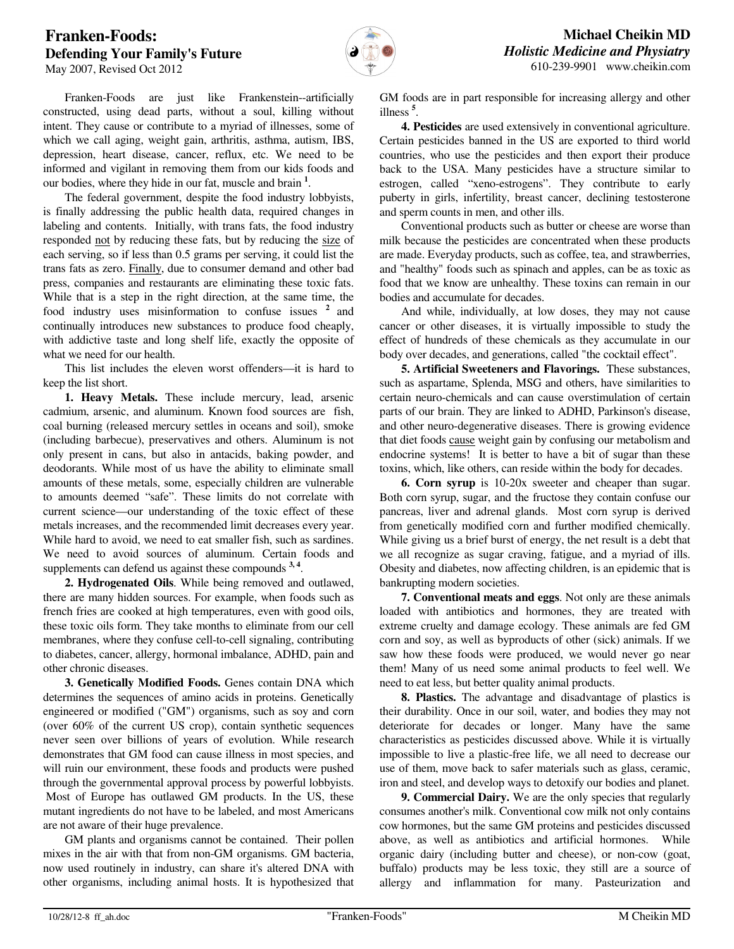## **Franken-Foods: Defending Your Family's Future**



 Franken-Foods are just like Frankenstein--artificially constructed, using dead parts, without a soul, killing without intent. They cause or contribute to a myriad of illnesses, some of which we call aging, weight gain, arthritis, asthma, autism, IBS, depression, heart disease, cancer, reflux, etc. We need to be informed and vigilant in removing them from our kids foods and our bodies, where they hide in our fat, muscle and brain **<sup>1</sup>** .

 The federal government, despite the food industry lobbyists, is finally addressing the public health data, required changes in labeling and contents. Initially, with trans fats, the food industry responded not by reducing these fats, but by reducing the size of each serving, so if less than 0.5 grams per serving, it could list the trans fats as zero. Finally, due to consumer demand and other bad press, companies and restaurants are eliminating these toxic fats. While that is a step in the right direction, at the same time, the food industry uses misinformation to confuse issues **<sup>2</sup>**and continually introduces new substances to produce food cheaply, with addictive taste and long shelf life, exactly the opposite of what we need for our health.

 This list includes the eleven worst offenders—it is hard to keep the list short.

 **1. Heavy Metals.** These include mercury, lead, arsenic cadmium, arsenic, and aluminum. Known food sources are fish, coal burning (released mercury settles in oceans and soil), smoke (including barbecue), preservatives and others. Aluminum is not only present in cans, but also in antacids, baking powder, and deodorants. While most of us have the ability to eliminate small amounts of these metals, some, especially children are vulnerable to amounts deemed "safe". These limits do not correlate with current science—our understanding of the toxic effect of these metals increases, and the recommended limit decreases every year. While hard to avoid, we need to eat smaller fish, such as sardines. We need to avoid sources of aluminum. Certain foods and supplements can defend us against these compounds <sup>3, 4</sup>.

 **2. Hydrogenated Oils**. While being removed and outlawed, there are many hidden sources. For example, when foods such as french fries are cooked at high temperatures, even with good oils, these toxic oils form. They take months to eliminate from our cell membranes, where they confuse cell-to-cell signaling, contributing to diabetes, cancer, allergy, hormonal imbalance, ADHD, pain and other chronic diseases.

 **3. Genetically Modified Foods.** Genes contain DNA which determines the sequences of amino acids in proteins. Genetically engineered or modified ("GM") organisms, such as soy and corn (over 60% of the current US crop), contain synthetic sequences never seen over billions of years of evolution. While research demonstrates that GM food can cause illness in most species, and will ruin our environment, these foods and products were pushed through the governmental approval process by powerful lobbyists. Most of Europe has outlawed GM products. In the US, these mutant ingredients do not have to be labeled, and most Americans are not aware of their huge prevalence.

 GM plants and organisms cannot be contained. Their pollen mixes in the air with that from non-GM organisms. GM bacteria, now used routinely in industry, can share it's altered DNA with other organisms, including animal hosts. It is hypothesized that GM foods are in part responsible for increasing allergy and other illness **<sup>5</sup>** .

 **4. Pesticides** are used extensively in conventional agriculture. Certain pesticides banned in the US are exported to third world countries, who use the pesticides and then export their produce back to the USA. Many pesticides have a structure similar to estrogen, called "xeno-estrogens". They contribute to early puberty in girls, infertility, breast cancer, declining testosterone and sperm counts in men, and other ills.

 Conventional products such as butter or cheese are worse than milk because the pesticides are concentrated when these products are made. Everyday products, such as coffee, tea, and strawberries, and "healthy" foods such as spinach and apples, can be as toxic as food that we know are unhealthy. These toxins can remain in our bodies and accumulate for decades.

 And while, individually, at low doses, they may not cause cancer or other diseases, it is virtually impossible to study the effect of hundreds of these chemicals as they accumulate in our body over decades, and generations, called "the cocktail effect".

 **5. Artificial Sweeteners and Flavorings.** These substances, such as aspartame, Splenda, MSG and others, have similarities to certain neuro-chemicals and can cause overstimulation of certain parts of our brain. They are linked to ADHD, Parkinson's disease, and other neuro-degenerative diseases. There is growing evidence that diet foods cause weight gain by confusing our metabolism and endocrine systems! It is better to have a bit of sugar than these toxins, which, like others, can reside within the body for decades.

 **6. Corn syrup** is 10-20x sweeter and cheaper than sugar. Both corn syrup, sugar, and the fructose they contain confuse our pancreas, liver and adrenal glands. Most corn syrup is derived from genetically modified corn and further modified chemically. While giving us a brief burst of energy, the net result is a debt that we all recognize as sugar craving, fatigue, and a myriad of ills. Obesity and diabetes, now affecting children, is an epidemic that is bankrupting modern societies.

 **7. Conventional meats and eggs**. Not only are these animals loaded with antibiotics and hormones, they are treated with extreme cruelty and damage ecology. These animals are fed GM corn and soy, as well as byproducts of other (sick) animals. If we saw how these foods were produced, we would never go near them! Many of us need some animal products to feel well. We need to eat less, but better quality animal products.

 **8. Plastics.** The advantage and disadvantage of plastics is their durability. Once in our soil, water, and bodies they may not deteriorate for decades or longer. Many have the same characteristics as pesticides discussed above. While it is virtually impossible to live a plastic-free life, we all need to decrease our use of them, move back to safer materials such as glass, ceramic, iron and steel, and develop ways to detoxify our bodies and planet.

 **9. Commercial Dairy.** We are the only species that regularly consumes another's milk. Conventional cow milk not only contains cow hormones, but the same GM proteins and pesticides discussed above, as well as antibiotics and artificial hormones. While organic dairy (including butter and cheese), or non-cow (goat, buffalo) products may be less toxic, they still are a source of allergy and inflammation for many. Pasteurization and